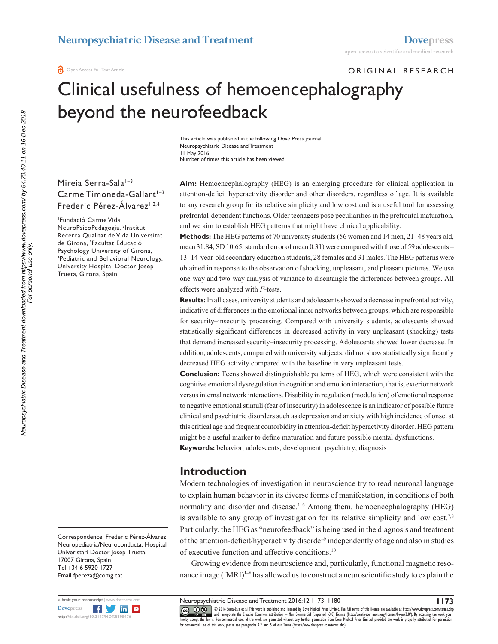#### ORIGINAL RESEARCH

# Clinical usefulness of hemoencephalography beyond the neurofeedback

Number of times this article has been viewed This article was published in the following Dove Press journal: Neuropsychiatric Disease and Treatment 11 May 2016

Mireia Serra-Sala<sup>1-3</sup> Carme Timoneda-Gallart<sup>1-3</sup> Frederic Pérez-Álvarez<sup>1,2,4</sup>

1 Fundació Carme Vidal NeuroPsicoPedagogia, 2 Institut Recerca Qualitat de Vida Universitat de Girona, 3 Facultat Educació Psychology University of Girona, Pediatric and Behavioral Neurology, University Hospital Doctor Josep Trueta, Girona, Spain

**Aim:** Hemoencephalography (HEG) is an emerging procedure for clinical application in attention-deficit hyperactivity disorder and other disorders, regardless of age. It is available to any research group for its relative simplicity and low cost and is a useful tool for assessing prefrontal-dependent functions. Older teenagers pose peculiarities in the prefrontal maturation, and we aim to establish HEG patterns that might have clinical applicability.

**Methods:** The HEG patterns of 70 university students (56 women and 14 men, 21–48 years old, mean 31.84, SD 10.65, standard error of mean 0.31) were compared with those of 59 adolescents – 13–14-year-old secondary education students, 28 females and 31 males. The HEG patterns were obtained in response to the observation of shocking, unpleasant, and pleasant pictures. We use one-way and two-way analysis of variance to disentangle the differences between groups. All effects were analyzed with *F*-tests.

**Results:** In all cases, university students and adolescents showed a decrease in prefrontal activity, indicative of differences in the emotional inner networks between groups, which are responsible for security–insecurity processing. Compared with university students, adolescents showed statistically significant differences in decreased activity in very unpleasant (shocking) tests that demand increased security–insecurity processing. Adolescents showed lower decrease. In addition, adolescents, compared with university subjects, did not show statistically significantly decreased HEG activity compared with the baseline in very unpleasant tests.

**Conclusion:** Teens showed distinguishable patterns of HEG, which were consistent with the cognitive emotional dysregulation in cognition and emotion interaction, that is, exterior network versus internal network interactions. Disability in regulation (modulation) of emotional response to negative emotional stimuli (fear of insecurity) in adolescence is an indicator of possible future clinical and psychiatric disorders such as depression and anxiety with high incidence of onset at this critical age and frequent comorbidity in attention-deficit hyperactivity disorder. HEG pattern might be a useful marker to define maturation and future possible mental dysfunctions. **Keywords:** behavior, adolescents, development, psychiatry, diagnosis

## **Introduction**

Modern technologies of investigation in neuroscience try to read neuronal language to explain human behavior in its diverse forms of manifestation, in conditions of both normality and disorder and disease.<sup>1-6</sup> Among them, hemoencephalography (HEG) is available to any group of investigation for its relative simplicity and low cost.<sup>7,8</sup> Particularly, the HEG as "neurofeedback" is being used in the diagnosis and treatment of the attention-deficit/hyperactivity disorder<sup>9</sup> independently of age and also in studies of executive function and affective conditions.10

Growing evidence from neuroscience and, particularly, functional magnetic resonance image  $(fMRI)^{1-6}$  has allowed us to construct a neuroscientific study to explain the

Neuropsychiatric Disease and Treatment 2016:12 1173–1180

CCC 1 © 2016 Serra-Sala et al. This work is published and licensed by Dove Medical Press Limited. The full terms of this license are available at <https://www.dovepress.com/terms.php><br>[hereby accept the Terms](http://www.dovepress.com/permissions.php). Non-commercial

**1173**

Correspondence: Frederic Pérez-Álvarez Neuropediatria/Neuroconducta, Hospital Univeristari Doctor Josep Trueta, 17007 Girona, Spain Tel +34 6 5920 1727 Email [fpereza@comg.](mailto:fpereza@comg.cat)cat

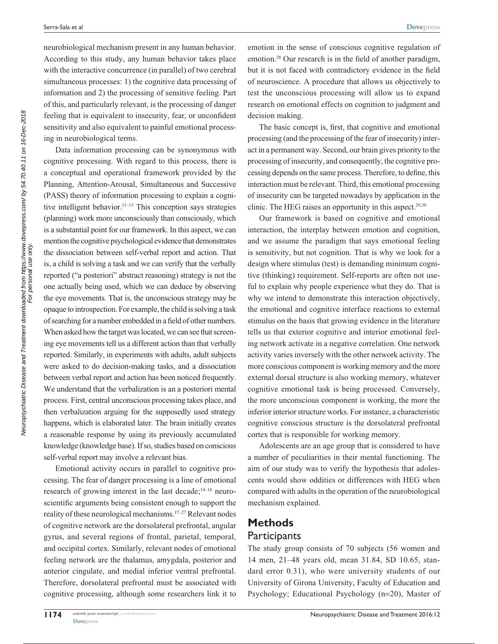neurobiological mechanism present in any human behavior. According to this study, any human behavior takes place with the interactive concurrence (in parallel) of two cerebral simultaneous processes: 1) the cognitive data processing of information and 2) the processing of sensitive feeling. Part of this, and particularly relevant, is the processing of danger feeling that is equivalent to insecurity, fear, or unconfident sensitivity and also equivalent to painful emotional processing in neurobiological terms.

Data information processing can be synonymous with cognitive processing. With regard to this process, there is a conceptual and operational framework provided by the Planning, Attention-Arousal, Simultaneous and Successive (PASS) theory of information processing to explain a cognitive intelligent behavior.<sup>11–13</sup> This conception says strategies (planning) work more unconsciously than consciously, which is a substantial point for our framework. In this aspect, we can mention the cognitive psychological evidence that demonstrates the dissociation between self-verbal report and action. That is, a child is solving a task and we can verify that the verbally reported ("a posteriori" abstract reasoning) strategy is not the one actually being used, which we can deduce by observing the eye movements. That is, the unconscious strategy may be opaque to introspection. For example, the child is solving a task of searching for a number embedded in a field of other numbers. When asked how the target was located, we can see that screening eye movements tell us a different action than that verbally reported. Similarly, in experiments with adults, adult subjects were asked to do decision-making tasks, and a dissociation between verbal report and action has been noticed frequently. We understand that the verbalization is an a posteriori mental process. First, central unconscious processing takes place, and then verbalization arguing for the supposedly used strategy happens, which is elaborated later. The brain initially creates a reasonable response by using its previously accumulated knowledge (knowledge base). If so, studies based on conscious self-verbal report may involve a relevant bias.

Emotional activity occurs in parallel to cognitive processing. The fear of danger processing is a line of emotional research of growing interest in the last decade; $14-16$  neuroscientific arguments being consistent enough to support the reality of these neurological mechanisms.17–27 Relevant nodes of cognitive network are the dorsolateral prefrontal, angular gyrus, and several regions of frontal, parietal, temporal, and occipital cortex. Similarly, relevant nodes of emotional feeling network are the thalamus, amygdala, posterior and anterior cingulate, and medial inferior ventral prefrontal. Therefore, dorsolateral prefrontal must be associated with cognitive processing, although some researchers link it to emotion in the sense of conscious cognitive regulation of emotion.28 Our research is in the field of another paradigm, but it is not faced with contradictory evidence in the field of neuroscience. A procedure that allows us objectively to test the unconscious processing will allow us to expand research on emotional effects on cognition to judgment and decision making.

The basic concept is, first, that cognitive and emotional processing (and the processing of the fear of insecurity) interact in a permanent way. Second, our brain gives priority to the processing of insecurity, and consequently, the cognitive processing depends on the same process. Therefore, to define, this interaction must be relevant. Third, this emotional processing of insecurity can be targeted nowadays by application in the clinic. The HEG raises an opportunity in this aspect. $29,30$ 

Our framework is based on cognitive and emotional interaction, the interplay between emotion and cognition, and we assume the paradigm that says emotional feeling is sensitivity, but not cognition. That is why we look for a design where stimulus (test) is demanding minimum cognitive (thinking) requirement. Self-reports are often not useful to explain why people experience what they do. That is why we intend to demonstrate this interaction objectively, the emotional and cognitive interface reactions to external stimulus on the basis that growing evidence in the literature tells us that exterior cognitive and interior emotional feeling network activate in a negative correlation. One network activity varies inversely with the other network activity. The more conscious component is working memory and the more external dorsal structure is also working memory, whatever cognitive emotional task is being processed. Conversely, the more unconscious component is working, the more the inferior interior structure works. For instance, a characteristic cognitive conscious structure is the dorsolateral prefrontal cortex that is responsible for working memory.

Adolescents are an age group that is considered to have a number of peculiarities in their mental functioning. The aim of our study was to verify the hypothesis that adolescents would show oddities or differences with HEG when compared with adults in the operation of the neurobiological mechanism explained.

## **Methods Participants**

## The study group consists of 70 subjects (56 women and 14 men, 21–48 years old, mean 31.84, SD 10.65, standard error 0.31), who were university students of our University of Girona University, Faculty of Education and Psychology; Educational Psychology (n=20), Master of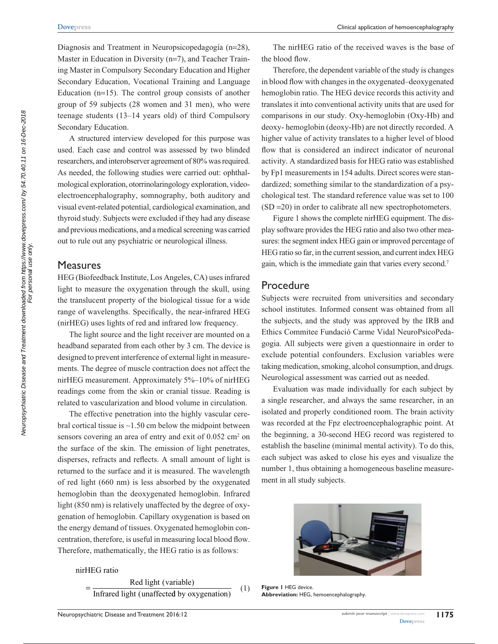Diagnosis and Treatment in Neuropsicopedagogía (n=28), Master in Education in Diversity (n=7), and Teacher Training Master in Compulsory Secondary Education and Higher Secondary Education, Vocational Training and Language Education (n=15). The control group consists of another group of 59 subjects (28 women and 31 men), who were teenage students (13–14 years old) of third Compulsory Secondary Education.

A structured interview developed for this purpose was used. Each case and control was assessed by two blinded researchers, and interobserver agreement of 80% was required. As needed, the following studies were carried out: ophthalmological exploration, otorrinolaringology exploration, videoelectroencephalography, somnography, both auditory and visual event-related potential, cardiological examination, and thyroid study. Subjects were excluded if they had any disease and previous medications, and a medical screening was carried out to rule out any psychiatric or neurological illness.

#### **Measures**

HEG (Biofeedback Institute, Los Angeles, CA) uses infrared light to measure the oxygenation through the skull, using the translucent property of the biological tissue for a wide range of wavelengths. Specifically, the near-infrared HEG (nirHEG) uses lights of red and infrared low frequency.

The light source and the light receiver are mounted on a headband separated from each other by 3 cm. The device is designed to prevent interference of external light in measurements. The degree of muscle contraction does not affect the nirHEG measurement. Approximately 5%–10% of nirHEG readings come from the skin or cranial tissue. Reading is related to vascularization and blood volume in circulation.

The effective penetration into the highly vascular cerebral cortical tissue is  $\sim$ 1.50 cm below the midpoint between sensors covering an area of entry and exit of 0.052 cm<sup>2</sup> on the surface of the skin. The emission of light penetrates, disperses, refracts and reflects. A small amount of light is returned to the surface and it is measured. The wavelength of red light (660 nm) is less absorbed by the oxygenated hemoglobin than the deoxygenated hemoglobin. Infrared light (850 nm) is relatively unaffected by the degree of oxygenation of hemoglobin. Capillary oxygenation is based on the energy demand of tissues. Oxygenated hemoglobin concentration, therefore, is useful in measuring local blood flow. Therefore, mathematically, the HEG ratio is as follows:

#### nirHEG ratio

Red light (variable)  $=\frac{\text{Red light (variable)}}{\text{Infrared light (unaffected by oxygenation)}}$  (1)

The nirHEG ratio of the received waves is the base of the blood flow.

Therefore, the dependent variable of the study is changes in blood flow with changes in the oxygenated–deoxygenated hemoglobin ratio. The HEG device records this activity and translates it into conventional activity units that are used for comparisons in our study. Oxy-hemoglobin (Oxy-Hb) and deoxy- hemoglobin (deoxy-Hb) are not directly recorded. A higher value of activity translates to a higher level of blood flow that is considered an indirect indicator of neuronal activity. A standardized basis for HEG ratio was established by Fp1 measurements in 154 adults. Direct scores were standardized; something similar to the standardization of a psychological test. The standard reference value was set to 100 (SD =20) in order to calibrate all new spectrophotometers.

Figure 1 shows the complete nirHEG equipment. The display software provides the HEG ratio and also two other measures: the segment index HEG gain or improved percentage of HEG ratio so far, in the current session, and current index HEG gain, which is the immediate gain that varies every second.7

#### Procedure

Subjects were recruited from universities and secondary school institutes. Informed consent was obtained from all the subjects, and the study was approved by the IRB and Ethics Commitee Fundació Carme Vidal NeuroPsicoPedagogia. All subjects were given a questionnaire in order to exclude potential confounders. Exclusion variables were taking medication, smoking, alcohol consumption, and drugs. Neurological assessment was carried out as needed.

Evaluation was made individually for each subject by a single researcher, and always the same researcher, in an isolated and properly conditioned room. The brain activity was recorded at the Fpz electroencephalographic point. At the beginning, a 30-second HEG record was registered to establish the baseline (minimal mental activity). To do this, each subject was asked to close his eyes and visualize the number 1, thus obtaining a homogeneous baseline measurement in all study subjects.



**Figure 1** HEG device. **Abbreviation:** HEG, hemoencephalography.

For personal use only.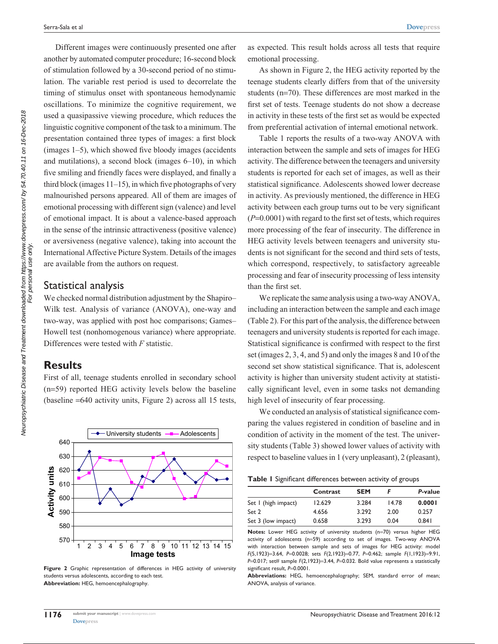Different images were continuously presented one after another by automated computer procedure; 16-second block of stimulation followed by a 30-second period of no stimulation. The variable rest period is used to decorrelate the timing of stimulus onset with spontaneous hemodynamic oscillations. To minimize the cognitive requirement, we used a quasipassive viewing procedure, which reduces the linguistic cognitive component of the task to a minimum. The presentation contained three types of images: a first block (images 1–5), which showed five bloody images (accidents and mutilations), a second block (images 6–10), in which five smiling and friendly faces were displayed, and finally a third block (images 11–15), in which five photographs of very malnourished persons appeared. All of them are images of emotional processing with different sign (valence) and level of emotional impact. It is about a valence-based approach in the sense of the intrinsic attractiveness (positive valence) or aversiveness (negative valence), taking into account the International Affective Picture System. Details of the images are available from the authors on request.

#### Statistical analysis

We checked normal distribution adjustment by the Shapiro– Wilk test. Analysis of variance (ANOVA), one-way and two-way, was applied with post hoc comparisons; Games– Howell test (nonhomogenous variance) where appropriate. Differences were tested with *F* statistic.

#### **Results**

First of all, teenage students enrolled in secondary school (n=59) reported HEG activity levels below the baseline (baseline =640 activity units, Figure 2) across all 15 tests,



**Figure 2** Graphic representation of differences in HEG activity of university students versus adolescents, according to each test. **Abbreviation:** HEG, hemoencephalography.

as expected. This result holds across all tests that require emotional processing.

As shown in Figure 2, the HEG activity reported by the teenage students clearly differs from that of the university students (n=70). These differences are most marked in the first set of tests. Teenage students do not show a decrease in activity in these tests of the first set as would be expected from preferential activation of internal emotional network.

Table 1 reports the results of a two-way ANOVA with interaction between the sample and sets of images for HEG activity. The difference between the teenagers and university students is reported for each set of images, as well as their statistical significance. Adolescents showed lower decrease in activity. As previously mentioned, the difference in HEG activity between each group turns out to be very significant (*P*=0.0001) with regard to the first set of tests, which requires more processing of the fear of insecurity. The difference in HEG activity levels between teenagers and university students is not significant for the second and third sets of tests, which correspond, respectively, to satisfactory agreeable processing and fear of insecurity processing of less intensity than the first set.

We replicate the same analysis using a two-way ANOVA, including an interaction between the sample and each image (Table 2). For this part of the analysis, the difference between teenagers and university students is reported for each image. Statistical significance is confirmed with respect to the first set (images 2, 3, 4, and 5) and only the images 8 and 10 of the second set show statistical significance. That is, adolescent activity is higher than university student activity at statistically significant level, even in some tasks not demanding high level of insecurity of fear processing.

We conducted an analysis of statistical significance comparing the values registered in condition of baseline and in condition of activity in the moment of the test. The university students (Table 3) showed lower values of activity with respect to baseline values in 1 (very unpleasant), 2 (pleasant),

**Table 1** Significant differences between activity of groups

|                     | Contrast | <b>SEM</b> |       | P-value |
|---------------------|----------|------------|-------|---------|
| Set I (high impact) | 12.629   | 3.284      | 14.78 | 0.0001  |
| Set 2               | 4.656    | 3.292      | 2.00  | 0.257   |
| Set 3 (low impact)  | 0.658    | 3.293      | 0.04  | 0.841   |

**Notes:** Lower HEG activity of university students (n=70) versus higher HEG activity of adolescents (n=59) according to set of images. Two-way ANOVA with interaction between sample and sets of images for HEG activity: model *F*(5,1923)=3.64, *P*=0.0028; sets *F*(2,1923)=0.77, *P*=0.462; sample *F*(1,1923)=9.91, *P*=0.017; set# sample *F*(2,1923)=3.44, *P*=0.032. Bold value represents a statistically significant result, P=0.0001.

**Abbreviations:** HEG, hemoencephalography; SEM, standard error of mean; ANOVA, analysis of variance.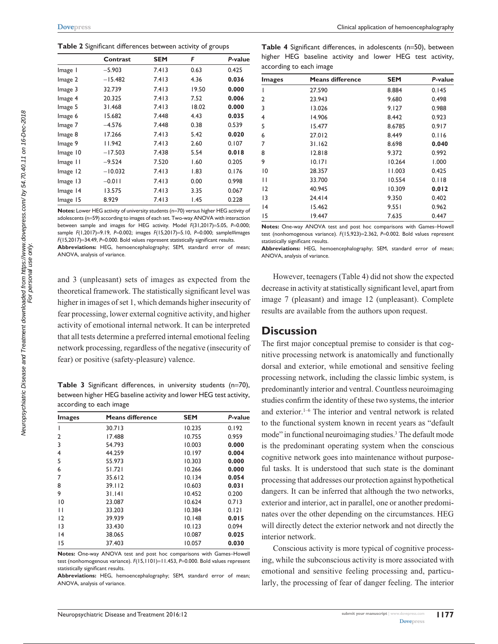**Table 2** Significant differences between activity of groups

|          | Contrast  | <b>SEM</b> | F     | P-value |  |
|----------|-----------|------------|-------|---------|--|
| Image I  | $-5.903$  | 7.413      | 0.63  | 0.425   |  |
| Image 2  | $-15.482$ | 7.413      | 4.36  | 0.036   |  |
| Image 3  | 32.739    | 7.413      | 19.50 | 0.000   |  |
| Image 4  | 20.325    | 7.413      | 7.52  | 0.006   |  |
| Image 5  | 31.468    | 7.413      | 18.02 | 0.000   |  |
| Image 6  | 15.682    | 7.448      | 4.43  | 0.035   |  |
| Image 7  | $-4.576$  | 7.448      | 0.38  | 0.539   |  |
| Image 8  | 17.266    | 7.413      | 5.42  | 0.020   |  |
| Image 9  | 11.942    | 7.413      | 2.60  | 0.107   |  |
| Image 10 | $-17.503$ | 7.438      | 5.54  | 0.018   |  |
| Image II | $-9.524$  | 7.520      | 1.60  | 0.205   |  |
| Image 12 | $-10.032$ | 7.413      | 1.83  | 0.176   |  |
| Image 13 | $-0.011$  | 7.413      | 0.00  | 0.998   |  |
| Image 14 | 13.575    | 7.413      | 3.35  | 0.067   |  |
| Image 15 | 8.929     | 7.413      | l.45  | 0.228   |  |

**Notes:** Lower HEG activity of university students (n=70) versus higher HEG activity of adolescents (n=59) according to images of each set. Two-way ANOVA with interaction between sample and images for HEG activity. Model *F*(31,2017)=5.05, *P*=0.000; sample *F*(1,2017)=9.19, *P*=0.002; images *F*(15,2017)=5.10, *P*=0.000; sample#images *F*(15,2017)=34.49, *P*=0.000. Bold values represent statistically significant results.

**Abbreviations:** HEG, hemoencephalography; SEM, standard error of mean; ANOVA, analysis of variance.

and 3 (unpleasant) sets of images as expected from the theoretical framework. The statistically significant level was higher in images of set 1, which demands higher insecurity of fear processing, lower external cognitive activity, and higher activity of emotional internal network. It can be interpreted that all tests determine a preferred internal emotional feeling network processing, regardless of the negative (insecurity of fear) or positive (safety-pleasure) valence.

Table 3 Significant differences, in university students (n=70), between higher HEG baseline activity and lower HEG test activity, according to each image

| Images          | <b>Means difference</b> | <b>SEM</b> | P-value |
|-----------------|-------------------------|------------|---------|
|                 | 30.713                  | 10.235     | 0.192   |
| $\mathbf{2}$    | 17.488                  | 10.755     | 0.959   |
| 3               | 54.793                  | 10.003     | 0.000   |
| 4               | 44.259                  | 10.197     | 0.004   |
| 5               | 55.973                  | 10.303     | 0.000   |
| 6               | 51.721                  | 10.266     | 0.000   |
| 7               | 35.612                  | 10.134     | 0.054   |
| 8               | 39.112                  | 10.603     | 0.031   |
| 9               | 31.141                  | 10.452     | 0.200   |
| $\overline{10}$ | 23.087                  | 10.624     | 0.713   |
| П               | 33.203                  | 10.384     | 0.121   |
| 12              | 39.939                  | 10.148     | 0.015   |
| 3               | 33.430                  | 10.123     | 0.094   |
| 4               | 38.065                  | 10.087     | 0.025   |
| 15              | 37.403                  | 10.057     | 0.030   |

**Notes:** One-way ANOVA test and post hoc comparisons with Games–Howell test (nonhomogenous variance). *F*(15,1101)=11.453, *P*=0.000. Bold values represent statistically significant results.

**Abbreviations:** HEG, hemoencephalography; SEM, standard error of mean; ANOVA, analysis of variance.

Clinical application of hemoencephalography

**Table 4** Significant differences, in adolescents (n=50), between higher HEG baseline activity and lower HEG test activity, according to each image

| <b>Images</b>  | <b>Means difference</b> | <b>SEM</b> | P-value |
|----------------|-------------------------|------------|---------|
|                | 27.590                  | 8.884      | 0.145   |
| $\mathbf{2}$   | 23.943                  | 9.680      | 0.498   |
| 3              | 13.026                  | 9.127      | 0.988   |
| $\overline{4}$ | 14.906                  | 8.442      | 0.923   |
| 5              | 15.477                  | 8.6785     | 0.917   |
| 6              | 27.012                  | 8.449      | 0.116   |
| 7              | 31.162                  | 8.698      | 0.040   |
| 8              | 12.818                  | 9.372      | 0.992   |
| 9              | 10.171                  | 10.264     | 1.000   |
| 10             | 28.357                  | 11.003     | 0.425   |
| П              | 33.700                  | 10.554     | 0.118   |
| 12             | 40.945                  | 10.309     | 0.012   |
| 3              | 24.414                  | 9.350      | 0.402   |
| 4              | 15.462                  | 9.551      | 0.962   |
| 15             | 19.447                  | 7.635      | 0.447   |

**Notes:** One-way ANOVA test and post hoc comparisons with Games–Howell test (nonhomogenous variance). *F*(15,923)=2.362, *P*=0.002. Bold values represent statistically significant results.

**Abbreviations:** HEG, hemoencephalography; SEM, standard error of mean; ANOVA, analysis of variance.

However, teenagers (Table 4) did not show the expected decrease in activity at statistically significant level, apart from image 7 (pleasant) and image 12 (unpleasant). Complete results are available from the authors upon request.

#### **Discussion**

The first major conceptual premise to consider is that cognitive processing network is anatomically and functionally dorsal and exterior, while emotional and sensitive feeling processing network, including the classic limbic system, is predominantly interior and ventral. Countless neuroimaging studies confirm the identity of these two systems, the interior and exterior.1–6 The interior and ventral network is related to the functional system known in recent years as "default mode" in functional neuroimaging studies.<sup>3</sup> The default mode is the predominant operating system when the conscious cognitive network goes into maintenance without purposeful tasks. It is understood that such state is the dominant processing that addresses our protection against hypothetical dangers. It can be inferred that although the two networks, exterior and interior, act in parallel, one or another predominates over the other depending on the circumstances. HEG will directly detect the exterior network and not directly the interior network.

Conscious activity is more typical of cognitive processing, while the subconscious activity is more associated with emotional and sensitive feeling processing and, particularly, the processing of fear of danger feeling. The interior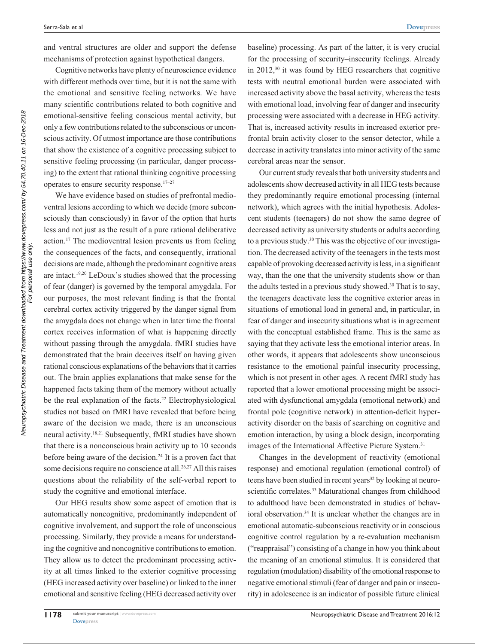and ventral structures are older and support the defense mechanisms of protection against hypothetical dangers.

Cognitive networks have plenty of neuroscience evidence with different methods over time, but it is not the same with the emotional and sensitive feeling networks. We have many scientific contributions related to both cognitive and emotional-sensitive feeling conscious mental activity, but only a few contributions related to the subconscious or unconscious activity. Of utmost importance are those contributions that show the existence of a cognitive processing subject to sensitive feeling processing (in particular, danger processing) to the extent that rational thinking cognitive processing operates to ensure security response.17–27

We have evidence based on studies of prefrontal medioventral lesions according to which we decide (more subconsciously than consciously) in favor of the option that hurts less and not just as the result of a pure rational deliberative action.17 The medioventral lesion prevents us from feeling the consequences of the facts, and consequently, irrational decisions are made, although the predominant cognitive areas are intact.19,20 LeDoux's studies showed that the processing of fear (danger) is governed by the temporal amygdala. For our purposes, the most relevant finding is that the frontal cerebral cortex activity triggered by the danger signal from the amygdala does not change when in later time the frontal cortex receives information of what is happening directly without passing through the amygdala. fMRI studies have demonstrated that the brain deceives itself on having given rational conscious explanations of the behaviors that it carries out. The brain applies explanations that make sense for the happened facts taking them of the memory without actually be the real explanation of the facts.<sup>22</sup> Electrophysiological studies not based on fMRI have revealed that before being aware of the decision we made, there is an unconscious neural activity.18,21 Subsequently, fMRI studies have shown that there is a nonconscious brain activity up to 10 seconds before being aware of the decision.<sup>24</sup> It is a proven fact that some decisions require no conscience at all.<sup>26,27</sup> All this raises questions about the reliability of the self-verbal report to study the cognitive and emotional interface.

Our HEG results show some aspect of emotion that is automatically noncognitive, predominantly independent of cognitive involvement, and support the role of unconscious processing. Similarly, they provide a means for understanding the cognitive and noncognitive contributions to emotion. They allow us to detect the predominant processing activity at all times linked to the exterior cognitive processing (HEG increased activity over baseline) or linked to the inner emotional and sensitive feeling (HEG decreased activity over baseline) processing. As part of the latter, it is very crucial for the processing of security–insecurity feelings. Already in 2012,30 it was found by HEG researchers that cognitive tests with neutral emotional burden were associated with increased activity above the basal activity, whereas the tests with emotional load, involving fear of danger and insecurity processing were associated with a decrease in HEG activity. That is, increased activity results in increased exterior prefrontal brain activity closer to the sensor detector, while a decrease in activity translates into minor activity of the same cerebral areas near the sensor.

Our current study reveals that both university students and adolescents show decreased activity in all HEG tests because they predominantly require emotional processing (internal network), which agrees with the initial hypothesis. Adolescent students (teenagers) do not show the same degree of decreased activity as university students or adults according to a previous study.<sup>30</sup> This was the objective of our investigation. The decreased activity of the teenagers in the tests most capable of provoking decreased activity is less, in a significant way, than the one that the university students show or than the adults tested in a previous study showed.<sup>30</sup> That is to say, the teenagers deactivate less the cognitive exterior areas in situations of emotional load in general and, in particular, in fear of danger and insecurity situations what is in agreement with the conceptual established frame. This is the same as saying that they activate less the emotional interior areas. In other words, it appears that adolescents show unconscious resistance to the emotional painful insecurity processing, which is not present in other ages. A recent fMRI study has reported that a lower emotional processing might be associated with dysfunctional amygdala (emotional network) and frontal pole (cognitive network) in attention-deficit hyperactivity disorder on the basis of searching on cognitive and emotion interaction, by using a block design, incorporating images of the International Affective Picture System.<sup>31</sup>

Changes in the development of reactivity (emotional response) and emotional regulation (emotional control) of teens have been studied in recent years<sup>32</sup> by looking at neuroscientific correlates.<sup>33</sup> Maturational changes from childhood to adulthood have been demonstrated in studies of behavioral observation.34 It is unclear whether the changes are in emotional automatic-subconscious reactivity or in conscious cognitive control regulation by a re-evaluation mechanism ("reappraisal") consisting of a change in how you think about the meaning of an emotional stimulus. It is considered that regulation (modulation) disability of the emotional response to negative emotional stimuli (fear of danger and pain or insecurity) in adolescence is an indicator of possible future clinical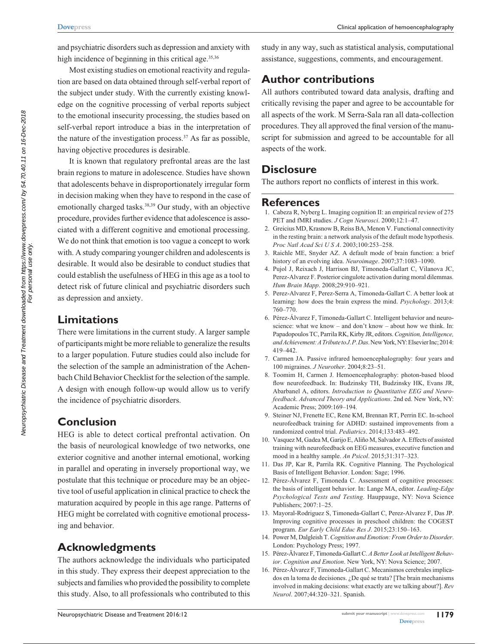and psychiatric disorders such as depression and anxiety with high incidence of beginning in this critical age.<sup>35,36</sup>

Most existing studies on emotional reactivity and regulation are based on data obtained through self-verbal report of the subject under study. With the currently existing knowledge on the cognitive processing of verbal reports subject to the emotional insecurity processing, the studies based on self-verbal report introduce a bias in the interpretation of the nature of the investigation process.<sup>37</sup> As far as possible, having objective procedures is desirable.

It is known that regulatory prefrontal areas are the last brain regions to mature in adolescence. Studies have shown that adolescents behave in disproportionately irregular form in decision making when they have to respond in the case of emotionally charged tasks.<sup>38,39</sup> Our study, with an objective procedure, provides further evidence that adolescence is associated with a different cognitive and emotional processing. We do not think that emotion is too vague a concept to work with. A study comparing younger children and adolescents is desirable. It would also be desirable to conduct studies that could establish the usefulness of HEG in this age as a tool to detect risk of future clinical and psychiatric disorders such as depression and anxiety.

## **Limitations**

There were limitations in the current study. A larger sample of participants might be more reliable to generalize the results to a larger population. Future studies could also include for the selection of the sample an administration of the Achenbach Child Behavior Checklist for the selection of the sample. A design with enough follow-up would allow us to verify the incidence of psychiatric disorders.

# **Conclusion**

HEG is able to detect cortical prefrontal activation. On the basis of neurological knowledge of two networks, one exterior cognitive and another internal emotional, working in parallel and operating in inversely proportional way, we postulate that this technique or procedure may be an objective tool of useful application in clinical practice to check the maturation acquired by people in this age range. Patterns of HEG might be correlated with cognitive emotional processing and behavior.

# **Acknowledgments**

The authors acknowledge the individuals who participated in this study. They express their deepest appreciation to the subjects and families who provided the possibility to complete this study. Also, to all professionals who contributed to this

study in any way, such as statistical analysis, computational assistance, suggestions, comments, and encouragement.

# **Author contributions**

All authors contributed toward data analysis, drafting and critically revising the paper and agree to be accountable for all aspects of the work. M Serra-Sala ran all data-collection procedures. They all approved the final version of the manuscript for submission and agreed to be accountable for all aspects of the work.

# **Disclosure**

The authors report no conflicts of interest in this work.

#### **References**

- 1. Cabeza R, Nyberg L. Imaging cognition II: an empirical review of 275 PET and fMRI studies. *J Cogn Neurosci*. 2000;12:1–47.
- 2. Greicius MD, Krasnow B, Reiss BA, Menon V. Functional connectivity in the resting brain: a network analysis of the default mode hypothesis. *Proc Natl Acad Sci U S A*. 2003;100:253–258.
- 3. Raichle ME, Snyder AZ. A default mode of brain function: a brief history of an evolving idea. *Neuroimage*. 2007;37:1083–1090.
- 4. Pujol J, Reixach J, Harrison BJ, Timoneda-Gallart C, Vilanova JC, Perez-Alvarez F. Posterior cingulote activation during moral dilemmas. *Hum Brain Mapp*. 2008;29:910–921.
- 5. Perez-Alvarez F, Perez-Serra A, Timoneda-Gallart C. A better look at learning: how does the brain express the mind. *Psychology*. 2013;4: 760–770.
- 6. Pérez-Álvarez F, Timoneda-Gallart C. Intelligent behavior and neuroscience: what we know – and don't know – about how we think. In: Papadopoulos TC, Parrila RK, Kirby JR, editors. *Cognition, Intelligence, and Achievement: A Tribute to J*. *P*. *Das*. New York, NY: Elsevier Inc; 2014: 419–442.
- 7. Carmen JA. Passive infrared hemoencephalography: four years and 100 migraines. *J Neurother*. 2004;8:23–51.
- 8. Toomim H, Carmen J. Hemoencephalography: photon-based blood flow neurofeedback. In: Budzinsky TH, Budzinsky HK, Evans JR, Abarbanel A, editors. *Introduction to Quantitative EEG and Neurofeedback*. *Advanced Theory and Applications*. 2nd ed. New York, NY: Academic Press; 2009:169–194.
- 9. Steiner NJ, Frenette EC, Rene KM, Brennan RT, Perrin EC. In-school neurofeedback training for ADHD: sustained improvements from a randomized control trial. *Pediatrics*. 2014;133:483–492.
- 10. Vasquez M, Gadea M, Garijo E, Aliño M, Salvador A. Effects of assisted training with neurofeedback on EEG measures, executive function and mood in a healthy sample. *An Psicol*. 2015;31:317–323.
- 11. Das JP, Kar R, Parrila RK. Cognitive Planning. The Psychological Basis of Intelligent Behavior. London: Sage; 1996.
- 12. Pérez-Álvarez F, Timoneda C. Assessment of cognitive processes: the basis of intelligent behavior. In: Lange MA, editor. *Leading-Edge Psychological Tests and Testing*. Hauppauge, NY: Nova Science Publishers; 2007:1–25.
- 13. Mayoral-Rodriguez S, Timoneda-Gallart C, Perez-Alvarez F, Das JP. Improving cognitive processes in preschool children: the COGEST program. *Eur Early Child Educ Res J*. 2015;23:150–163.
- 14. Power M, Dalgleish T. *Cognition and Emotion: From Order to Disorder*. London: Psychology Press; 1997.
- 15. Pérez-Älvarez F, Timoneda-Gallart C. *A Better Look at Intelligent Behavior*. *Cognition and Emotion*. New York, NY: Nova Science; 2007.
- 16. Pérez-Álvarez F, Timoneda-Gallart C. Mecanismos cerebrales implicados en la toma de decisiones. ¿De qué se trata? [The brain mechanisms involved in making decisions: what exactly are we talking about?]. *Rev Neurol*. 2007;44:320–321. Spanish.